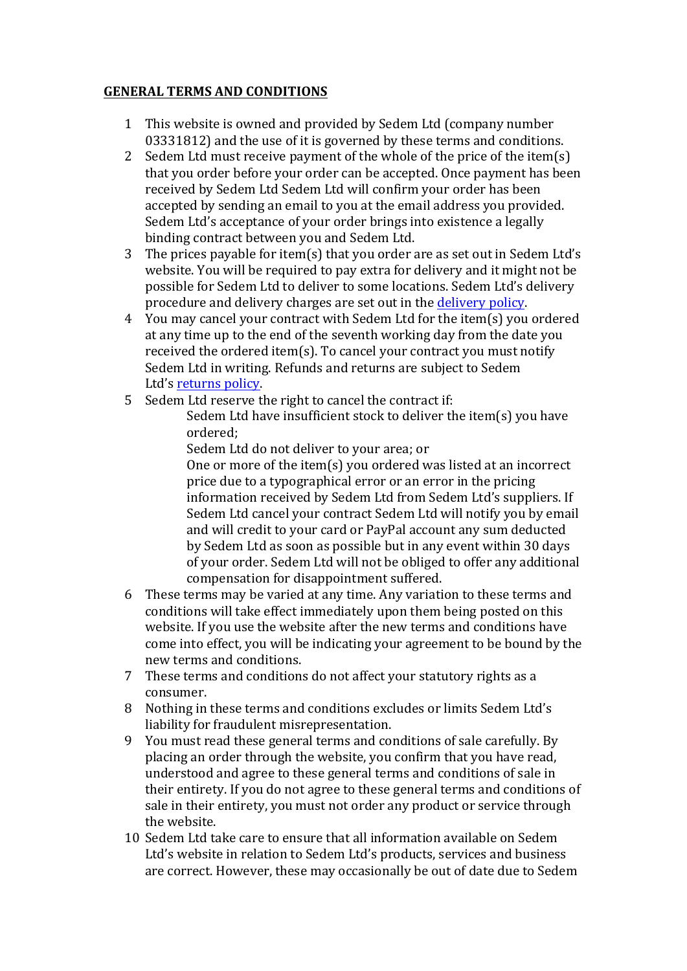## **GENERAL TERMS AND CONDITIONS**

- 1 This website is owned and provided by Sedem Ltd (company number 03331812) and the use of it is governed by these terms and conditions.
- 2 Sedem Ltd must receive payment of the whole of the price of the item(s) that you order before your order can be accepted. Once payment has been received by Sedem Ltd Sedem Ltd will confirm your order has been accepted by sending an email to you at the email address you provided. Sedem Ltd's acceptance of your order brings into existence a legally binding contract between you and Sedem Ltd.
- 3 The prices payable for item(s) that you order are as set out in Sedem Ltd's website. You will be required to pay extra for delivery and it might not be possible for Sedem Ltd to deliver to some locations. Sedem Ltd's delivery procedure and delivery charges are set out in the delivery policy.
- 4 You may cancel your contract with Sedem Ltd for the item(s) you ordered at any time up to the end of the seventh working day from the date you received the ordered item(s). To cancel your contract you must notify Sedem Ltd in writing. Refunds and returns are subject to Sedem Ltd's returns policy.
- 5 Sedem Ltd reserve the right to cancel the contract if:

Sedem Ltd have insufficient stock to deliver the item(s) you have ordered;

Sedem Ltd do not deliver to your area; or

One or more of the item(s) you ordered was listed at an incorrect price due to a typographical error or an error in the pricing information received by Sedem Ltd from Sedem Ltd's suppliers. If Sedem Ltd cancel vour contract Sedem Ltd will notify you by email and will credit to your card or PayPal account any sum deducted by Sedem Ltd as soon as possible but in any event within 30 days of your order. Sedem Ltd will not be obliged to offer any additional compensation for disappointment suffered.

- 6 These terms may be varied at any time. Any variation to these terms and conditions will take effect immediately upon them being posted on this website. If you use the website after the new terms and conditions have come into effect, you will be indicating your agreement to be bound by the new terms and conditions.
- 7 These terms and conditions do not affect your statutory rights as a consumer.
- 8 Nothing in these terms and conditions excludes or limits Sedem Ltd's liability for fraudulent misrepresentation.
- 9 You must read these general terms and conditions of sale carefully. By placing an order through the website, you confirm that you have read, understood and agree to these general terms and conditions of sale in their entirety. If you do not agree to these general terms and conditions of sale in their entirety, you must not order any product or service through the website.
- 10 Sedem Ltd take care to ensure that all information available on Sedem Ltd's website in relation to Sedem Ltd's products, services and business are correct. However, these may occasionally be out of date due to Sedem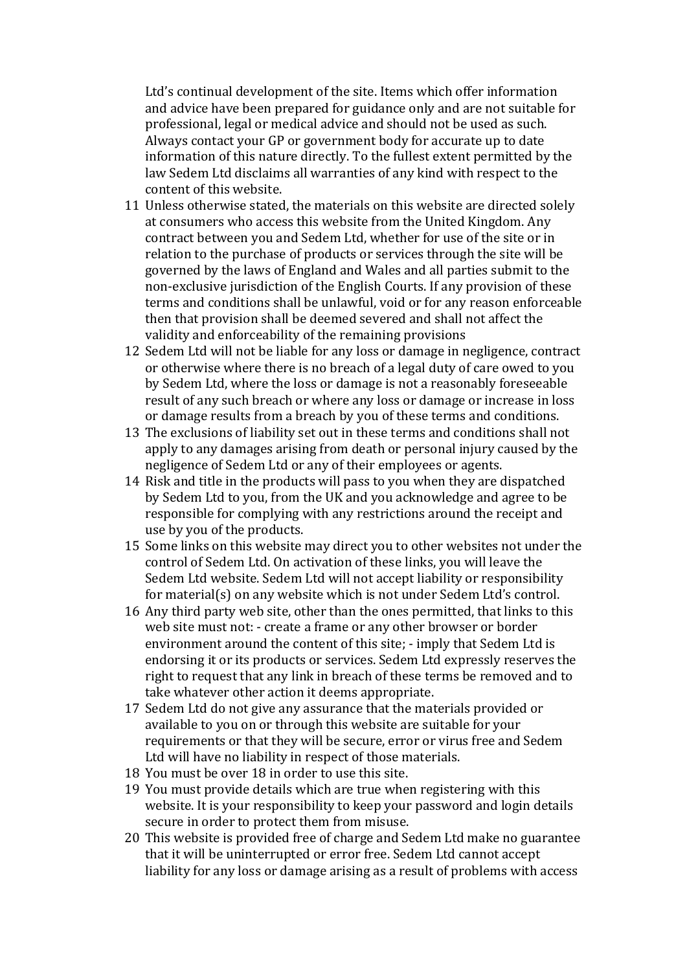Ltd's continual development of the site. Items which offer information and advice have been prepared for guidance only and are not suitable for professional, legal or medical advice and should not be used as such. Always contact your GP or government body for accurate up to date information of this nature directly. To the fullest extent permitted by the law Sedem Ltd disclaims all warranties of any kind with respect to the content of this website.

- 11 Unless otherwise stated, the materials on this website are directed solely at consumers who access this website from the United Kingdom. Any contract between you and Sedem Ltd, whether for use of the site or in relation to the purchase of products or services through the site will be governed by the laws of England and Wales and all parties submit to the non-exclusive jurisdiction of the English Courts. If any provision of these terms and conditions shall be unlawful, void or for any reason enforceable then that provision shall be deemed severed and shall not affect the validity and enforceability of the remaining provisions
- 12 Sedem Ltd will not be liable for any loss or damage in negligence, contract or otherwise where there is no breach of a legal duty of care owed to you by Sedem Ltd, where the loss or damage is not a reasonably foreseeable result of any such breach or where any loss or damage or increase in loss or damage results from a breach by you of these terms and conditions.
- 13 The exclusions of liability set out in these terms and conditions shall not apply to any damages arising from death or personal injury caused by the negligence of Sedem Ltd or any of their employees or agents.
- 14 Risk and title in the products will pass to you when they are dispatched by Sedem Ltd to you, from the UK and you acknowledge and agree to be responsible for complying with any restrictions around the receipt and use by you of the products.
- 15 Some links on this website may direct you to other websites not under the control of Sedem Ltd. On activation of these links, you will leave the Sedem Ltd website. Sedem Ltd will not accept liability or responsibility for material(s) on any website which is not under Sedem Ltd's control.
- 16 Any third party web site, other than the ones permitted, that links to this web site must not: - create a frame or any other browser or border environment around the content of this site; - imply that Sedem Ltd is endorsing it or its products or services. Sedem Ltd expressly reserves the right to request that any link in breach of these terms be removed and to take whatever other action it deems appropriate.
- 17 Sedem Ltd do not give any assurance that the materials provided or available to you on or through this website are suitable for your requirements or that they will be secure, error or virus free and Sedem Ltd will have no liability in respect of those materials.
- 18 You must be over 18 in order to use this site.
- 19 You must provide details which are true when registering with this website. It is your responsibility to keep your password and login details secure in order to protect them from misuse.
- 20 This website is provided free of charge and Sedem Ltd make no guarantee that it will be uninterrupted or error free. Sedem Ltd cannot accept liability for any loss or damage arising as a result of problems with access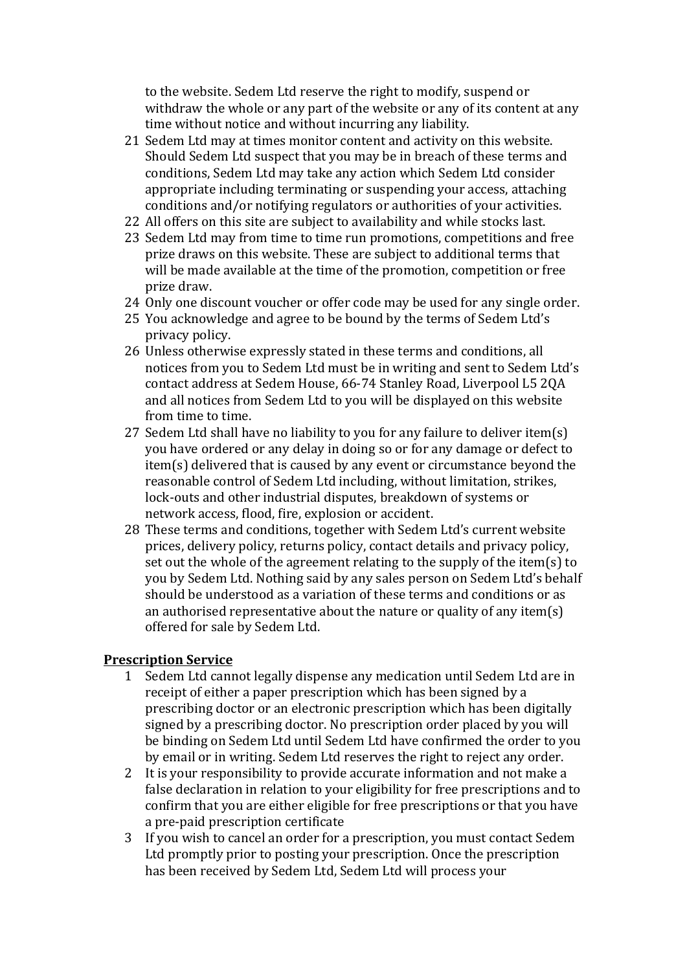to the website. Sedem Ltd reserve the right to modify, suspend or withdraw the whole or any part of the website or any of its content at any time without notice and without incurring any liability.

- 21 Sedem Ltd may at times monitor content and activity on this website. Should Sedem Ltd suspect that you may be in breach of these terms and conditions, Sedem Ltd may take any action which Sedem Ltd consider appropriate including terminating or suspending your access, attaching conditions and/or notifying regulators or authorities of your activities.
- 22 All offers on this site are subject to availability and while stocks last.
- 23 Sedem Ltd may from time to time run promotions, competitions and free prize draws on this website. These are subject to additional terms that will be made available at the time of the promotion, competition or free prize draw.
- 24 Only one discount voucher or offer code may be used for any single order.
- 25 You acknowledge and agree to be bound by the terms of Sedem Ltd's privacy policy.
- 26 Unless otherwise expressly stated in these terms and conditions, all notices from you to Sedem Ltd must be in writing and sent to Sedem Ltd's contact address at Sedem House, 66-74 Stanley Road, Liverpool L5 2QA and all notices from Sedem Ltd to you will be displayed on this website from time to time.
- 27 Sedem Ltd shall have no liability to you for any failure to deliver item(s) you have ordered or any delay in doing so or for any damage or defect to item(s) delivered that is caused by any event or circumstance beyond the reasonable control of Sedem Ltd including, without limitation, strikes, lock-outs and other industrial disputes, breakdown of systems or network access, flood, fire, explosion or accident.
- 28 These terms and conditions, together with Sedem Ltd's current website prices, delivery policy, returns policy, contact details and privacy policy, set out the whole of the agreement relating to the supply of the item(s) to you by Sedem Ltd. Nothing said by any sales person on Sedem Ltd's behalf should be understood as a variation of these terms and conditions or as an authorised representative about the nature or quality of any item(s) offered for sale by Sedem Ltd.

## **Prescription Service**

- 1 Sedem Ltd cannot legally dispense any medication until Sedem Ltd are in receipt of either a paper prescription which has been signed by a prescribing doctor or an electronic prescription which has been digitally signed by a prescribing doctor. No prescription order placed by you will be binding on Sedem Ltd until Sedem Ltd have confirmed the order to you by email or in writing. Sedem Ltd reserves the right to reject any order.
- 2 It is your responsibility to provide accurate information and not make a false declaration in relation to your eligibility for free prescriptions and to confirm that you are either eligible for free prescriptions or that you have a pre-paid prescription certificate
- 3 If you wish to cancel an order for a prescription, you must contact Sedem Ltd promptly prior to posting your prescription. Once the prescription has been received by Sedem Ltd, Sedem Ltd will process your